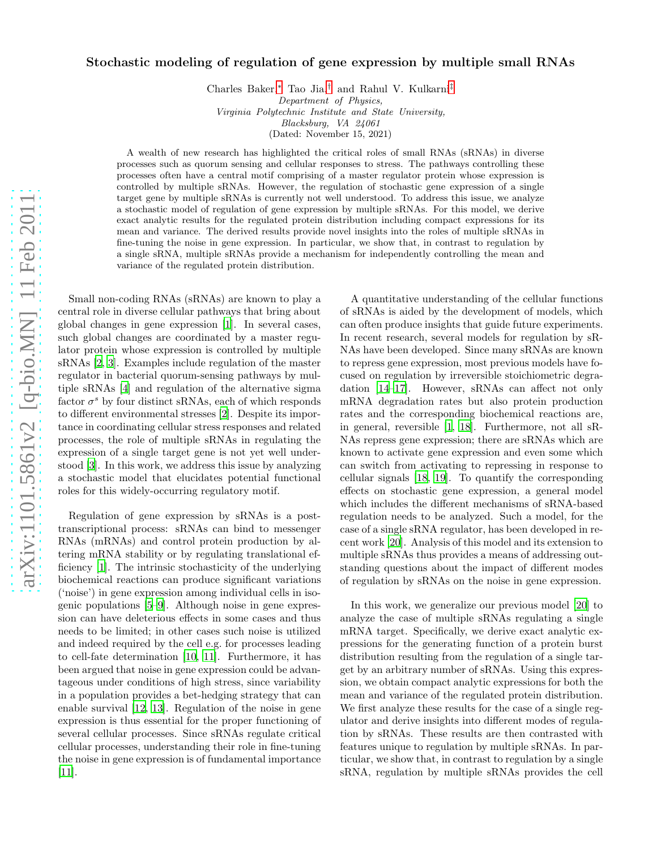## Stochastic modeling of regulation of gene expression by multiple small RNAs

Charles Baker,[∗](#page-3-0) Tao Jia,[†](#page-3-1) and Rahul V. Kulkarni[‡](#page-3-2) Department of Physics,

Virginia Polytechnic Institute and State University,

Blacksburg, VA 24061

(Dated: November 15, 2021)

A wealth of new research has highlighted the critical roles of small RNAs (sRNAs) in diverse processes such as quorum sensing and cellular responses to stress. The pathways controlling these processes often have a central motif comprising of a master regulator protein whose expression is controlled by multiple sRNAs. However, the regulation of stochastic gene expression of a single target gene by multiple sRNAs is currently not well understood. To address this issue, we analyze a stochastic model of regulation of gene expression by multiple sRNAs. For this model, we derive exact analytic results for the regulated protein distribution including compact expressions for its mean and variance. The derived results provide novel insights into the roles of multiple sRNAs in fine-tuning the noise in gene expression. In particular, we show that, in contrast to regulation by a single sRNA, multiple sRNAs provide a mechanism for independently controlling the mean and variance of the regulated protein distribution.

Small non-coding RNAs (sRNAs) are known to play a central role in diverse cellular pathways that bring about global changes in gene expression [\[1\]](#page-3-3). In several cases, such global changes are coordinated by a master regulator protein whose expression is controlled by multiple sRNAs [\[2,](#page-3-4) [3\]](#page-3-5). Examples include regulation of the master regulator in bacterial quorum-sensing pathways by multiple sRNAs [\[4](#page-3-6)] and regulation of the alternative sigma factor  $\sigma^s$  by four distinct sRNAs, each of which responds to different environmental stresses [\[2\]](#page-3-4). Despite its importance in coordinating cellular stress responses and related processes, the role of multiple sRNAs in regulating the expression of a single target gene is not yet well understood [\[3](#page-3-5)]. In this work, we address this issue by analyzing a stochastic model that elucidates potential functional roles for this widely-occurring regulatory motif.

Regulation of gene expression by sRNAs is a posttranscriptional process: sRNAs can bind to messenger RNAs (mRNAs) and control protein production by altering mRNA stability or by regulating translational efficiency [\[1\]](#page-3-3). The intrinsic stochasticity of the underlying biochemical reactions can produce significant variations ('noise') in gene expression among individual cells in isogenic populations [\[5](#page-3-7)[–9](#page-3-8)]. Although noise in gene expression can have deleterious effects in some cases and thus needs to be limited; in other cases such noise is utilized and indeed required by the cell e.g. for processes leading to cell-fate determination [\[10,](#page-3-9) [11\]](#page-3-10). Furthermore, it has been argued that noise in gene expression could be advantageous under conditions of high stress, since variability in a population provides a bet-hedging strategy that can enable survival [\[12,](#page-3-11) [13\]](#page-3-12). Regulation of the noise in gene expression is thus essential for the proper functioning of several cellular processes. Since sRNAs regulate critical cellular processes, understanding their role in fine-tuning the noise in gene expression is of fundamental importance [\[11\]](#page-3-10).

A quantitative understanding of the cellular functions of sRNAs is aided by the development of models, which can often produce insights that guide future experiments. In recent research, several models for regulation by sR-NAs have been developed. Since many sRNAs are known to repress gene expression, most previous models have focused on regulation by irreversible stoichiometric degradation [\[14](#page-3-13)[–17\]](#page-3-14). However, sRNAs can affect not only mRNA degradation rates but also protein production rates and the corresponding biochemical reactions are, in general, reversible [\[1,](#page-3-3) [18\]](#page-3-15). Furthermore, not all sR-NAs repress gene expression; there are sRNAs which are known to activate gene expression and even some which can switch from activating to repressing in response to cellular signals [\[18,](#page-3-15) [19](#page-3-16)]. To quantify the corresponding effects on stochastic gene expression, a general model which includes the different mechanisms of sRNA-based regulation needs to be analyzed. Such a model, for the case of a single sRNA regulator, has been developed in recent work [\[20](#page-3-17)]. Analysis of this model and its extension to multiple sRNAs thus provides a means of addressing outstanding questions about the impact of different modes of regulation by sRNAs on the noise in gene expression.

In this work, we generalize our previous model [\[20](#page-3-17)] to analyze the case of multiple sRNAs regulating a single mRNA target. Specifically, we derive exact analytic expressions for the generating function of a protein burst distribution resulting from the regulation of a single target by an arbitrary number of sRNAs. Using this expression, we obtain compact analytic expressions for both the mean and variance of the regulated protein distribution. We first analyze these results for the case of a single regulator and derive insights into different modes of regulation by sRNAs. These results are then contrasted with features unique to regulation by multiple sRNAs. In particular, we show that, in contrast to regulation by a single sRNA, regulation by multiple sRNAs provides the cell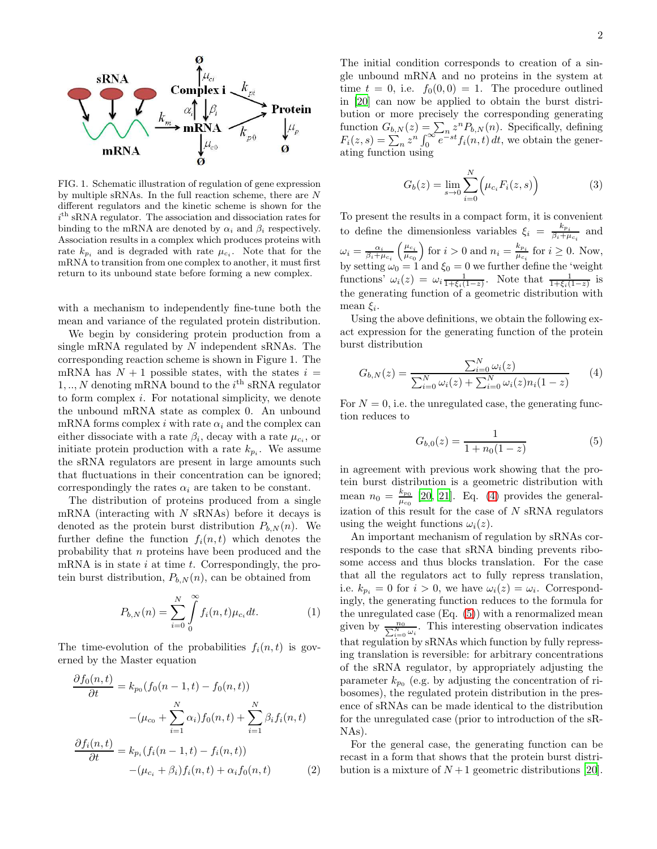

FIG. 1. Schematic illustration of regulation of gene expression by multiple sRNAs. In the full reaction scheme, there are N different regulators and the kinetic scheme is shown for the i th sRNA regulator. The association and dissociation rates for binding to the mRNA are denoted by  $\alpha_i$  and  $\beta_i$  respectively. Association results in a complex which produces proteins with rate  $k_{p_i}$  and is degraded with rate  $\mu_{c_i}$ . Note that for the mRNA to transition from one complex to another, it must first return to its unbound state before forming a new complex.

with a mechanism to independently fine-tune both the mean and variance of the regulated protein distribution.

We begin by considering protein production from a single mRNA regulated by  $N$  independent sRNAs. The corresponding reaction scheme is shown in Figure 1. The mRNA has  $N + 1$  possible states, with the states  $i =$  $1, \ldots, N$  denoting mRNA bound to the  $i<sup>th</sup>$  sRNA regulator to form complex  $i$ . For notational simplicity, we denote the unbound mRNA state as complex 0. An unbound mRNA forms complex i with rate  $\alpha_i$  and the complex can either dissociate with a rate  $\beta_i$ , decay with a rate  $\mu_{c_i}$ , or initiate protein production with a rate  $k_{pi}$ . We assume the sRNA regulators are present in large amounts such that fluctuations in their concentration can be ignored; correspondingly the rates  $\alpha_i$  are taken to be constant.

The distribution of proteins produced from a single mRNA (interacting with  $N$  sRNAs) before it decays is denoted as the protein burst distribution  $P_{b,N}(n)$ . We further define the function  $f_i(n, t)$  which denotes the probability that n proteins have been produced and the mRNA is in state  $i$  at time  $t$ . Correspondingly, the protein burst distribution,  $P_{b,N}(n)$ , can be obtained from

$$
P_{b,N}(n) = \sum_{i=0}^{N} \int_{0}^{\infty} f_i(n,t) \mu_{c_i} dt.
$$
 (1)

The time-evolution of the probabilities  $f_i(n, t)$  is governed by the Master equation

$$
\frac{\partial f_0(n,t)}{\partial t} = k_{p_0}(f_0(n-1,t) - f_0(n,t))
$$

$$
-(\mu_{c_0} + \sum_{i=1}^N \alpha_i) f_0(n,t) + \sum_{i=1}^N \beta_i f_i(n,t)
$$

$$
\frac{\partial f_i(n,t)}{\partial t} = k_{p_i}(f_i(n-1,t) - f_i(n,t))
$$

$$
-(\mu_{c_i} + \beta_i) f_i(n,t) + \alpha_i f_0(n,t) \tag{2}
$$

The initial condition corresponds to creation of a single unbound mRNA and no proteins in the system at time  $t = 0$ , i.e.  $f_0(0, 0) = 1$ . The procedure outlined in [\[20\]](#page-3-17) can now be applied to obtain the burst distribution or more precisely the corresponding generating function  $G_{b,N}(z) = \sum_{n} z^n P_{b,N}(n)$ . Specifically, defining  $F_i(z,s) = \sum_{n=1}^{\infty} z^n \int_0^{\infty} e^{-st} f_i(n,t) dt$ , we obtain the generating function using

$$
G_b(z) = \lim_{s \to 0} \sum_{i=0}^{N} (\mu_{c_i} F_i(z, s))
$$
 (3)

To present the results in a compact form, it is convenient to define the dimensionless variables  $\xi_i = \frac{k_{p_i}}{\beta_{i} + \mu_i}$  $\frac{\kappa_{p_i}}{\beta_i + \mu_{c_i}}$  and  $\omega_i = \frac{\alpha_i}{\beta_i + \mu_{c_i}}$  $\int \mu_{c_i}$  $\frac{\mu_{c_i}}{\mu_{c_0}}$  for  $i > 0$  and  $n_i = \frac{k_{p_i}}{\mu_{c_i}}$  $\frac{\kappa_{p_i}}{\mu_{c_i}}$  for  $i \geq 0$ . Now, by setting  $\omega_0 = 1$  and  $\xi_0 = 0$  we further define the 'weight functions'  $\omega_i(z) = \omega_i \frac{1}{1 + \xi_i(1-z)}$ . Note that  $\frac{1}{1 + \xi_i(1-z)}$  is the generating function of a geometric distribution with mean  $\xi_i$ .

Using the above definitions, we obtain the following exact expression for the generating function of the protein burst distribution

<span id="page-1-0"></span>
$$
G_{b,N}(z) = \frac{\sum_{i=0}^{N} \omega_i(z)}{\sum_{i=0}^{N} \omega_i(z) + \sum_{i=0}^{N} \omega_i(z) n_i(1-z)}
$$
(4)

For  $N = 0$ , i.e. the unregulated case, the generating function reduces to

<span id="page-1-1"></span>
$$
G_{b,0}(z) = \frac{1}{1 + n_0(1 - z)}\tag{5}
$$

in agreement with previous work showing that the protein burst distribution is a geometric distribution with mean  $n_0 = \frac{k_{p_0}}{\mu_{q_0}}$  $\frac{\kappa_{p_0}}{\mu_{c_0}}$  [\[20](#page-3-17), [21](#page-3-18)]. Eq. [\(4\)](#page-1-0) provides the generalization of this result for the case of  $N$  sRNA regulators using the weight functions  $\omega_i(z)$ .

An important mechanism of regulation by sRNAs corresponds to the case that sRNA binding prevents ribosome access and thus blocks translation. For the case that all the regulators act to fully repress translation, i.e.  $k_{p_i} = 0$  for  $i > 0$ , we have  $\omega_i(z) = \omega_i$ . Correspondingly, the generating function reduces to the formula for the unregulated case  $(Eq. (5))$  $(Eq. (5))$  $(Eq. (5))$  with a renormalized mean given by  $\frac{n_0}{\sum_{i=0}^{N} \omega_i}$ . This interesting observation indicates that regulation by sRNAs which function by fully repressing translation is reversible: for arbitrary concentrations of the sRNA regulator, by appropriately adjusting the parameter  $k_{p_0}$  (e.g. by adjusting the concentration of ribosomes), the regulated protein distribution in the presence of sRNAs can be made identical to the distribution for the unregulated case (prior to introduction of the sR-NAs).

For the general case, the generating function can be recast in a form that shows that the protein burst distribution is a mixture of  $N+1$  geometric distributions [\[20\]](#page-3-17).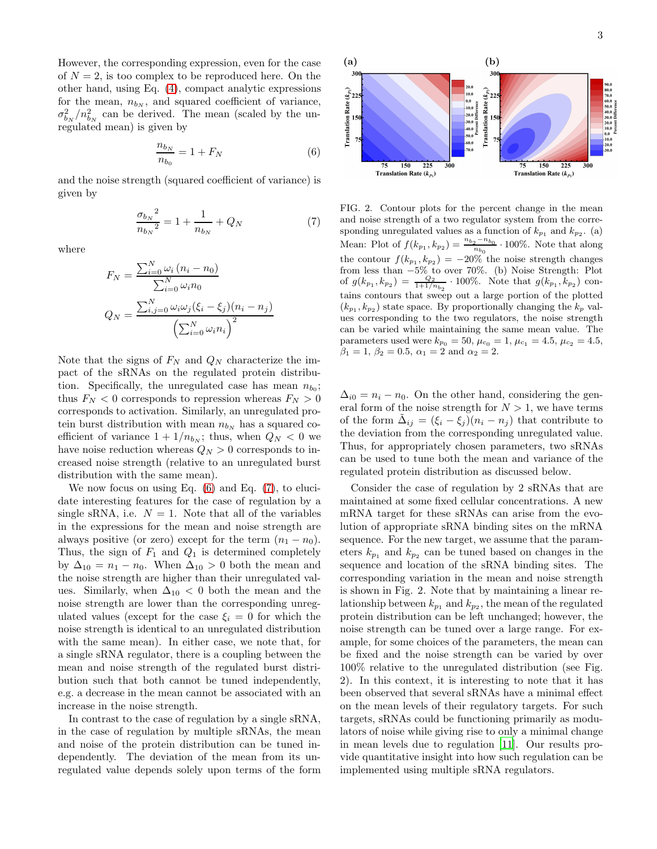However, the corresponding expression, even for the case of  $N = 2$ , is too complex to be reproduced here. On the other hand, using Eq. [\(4\)](#page-1-0), compact analytic expressions for the mean,  $n_{b_N}$ , and squared coefficient of variance,  $\sigma_{b_N}^2/n_{b_N}^2$  can be derived. The mean (scaled by the unregulated mean) is given by

<span id="page-2-0"></span>
$$
\frac{n_{b_N}}{n_{b_0}} = 1 + F_N \tag{6}
$$

and the noise strength (squared coefficient of variance) is given by

<span id="page-2-1"></span>
$$
\frac{{\sigma_{b_N}}^2}{n_{b_N}^2} = 1 + \frac{1}{n_{b_N}} + Q_N \tag{7}
$$

where

$$
F_N = \frac{\sum_{i=0}^{N} \omega_i (n_i - n_0)}{\sum_{i=0}^{N} \omega_i n_0}
$$
  

$$
Q_N = \frac{\sum_{i,j=0}^{N} \omega_i \omega_j (\xi_i - \xi_j)(n_i - n_j)}{\left(\sum_{i=0}^{N} \omega_i n_i\right)^2}
$$

Note that the signs of  $F_N$  and  $Q_N$  characterize the impact of the sRNAs on the regulated protein distribution. Specifically, the unregulated case has mean  $n_{b_0}$ ; thus  $F_N < 0$  corresponds to repression whereas  $F_N > 0$ corresponds to activation. Similarly, an unregulated protein burst distribution with mean  $n_{b_N}$  has a squared coefficient of variance  $1 + 1/n_{b_N}$ ; thus, when  $Q_N < 0$  we have noise reduction whereas  $Q_N > 0$  corresponds to increased noise strength (relative to an unregulated burst distribution with the same mean).

We now focus on using Eq. [\(6\)](#page-2-0) and Eq. [\(7\)](#page-2-1), to elucidate interesting features for the case of regulation by a single sRNA, i.e.  $N = 1$ . Note that all of the variables in the expressions for the mean and noise strength are always positive (or zero) except for the term  $(n_1 - n_0)$ . Thus, the sign of  $F_1$  and  $Q_1$  is determined completely by  $\Delta_{10} = n_1 - n_0$ . When  $\Delta_{10} > 0$  both the mean and the noise strength are higher than their unregulated values. Similarly, when  $\Delta_{10}$  < 0 both the mean and the noise strength are lower than the corresponding unregulated values (except for the case  $\xi_i = 0$  for which the noise strength is identical to an unregulated distribution with the same mean). In either case, we note that, for a single sRNA regulator, there is a coupling between the mean and noise strength of the regulated burst distribution such that both cannot be tuned independently, e.g. a decrease in the mean cannot be associated with an increase in the noise strength.

In contrast to the case of regulation by a single sRNA, in the case of regulation by multiple sRNAs, the mean and noise of the protein distribution can be tuned independently. The deviation of the mean from its unregulated value depends solely upon terms of the form



FIG. 2. Contour plots for the percent change in the mean and noise strength of a two regulator system from the corresponding unregulated values as a function of  $k_{p_1}$  and  $k_{p_2}$ . (a) Mean: Plot of  $f(k_{p_1}, k_{p_2}) = \frac{n_{b_2} - n_{b_0}}{n_b}$  $\frac{a_2 - n_{b_0}}{n_{b_0}} \cdot 100\%$ . Note that along the contour  $f(k_{p_1}, k_{p_2}) = -20\%$  the noise strength changes from less than −5% to over 70%. (b) Noise Strength: Plot of  $g(k_{p_1}, k_{p_2}) = \frac{Q_2}{1+1/n_{b_2}} \cdot 100\%.$  Note that  $g(k_{p_1}, k_{p_2})$  contains contours that sweep out a large portion of the plotted  $(k_{p_1}, k_{p_2})$  state space. By proportionally changing the  $k_p$  values corresponding to the two regulators, the noise strength can be varied while maintaining the same mean value. The parameters used were  $k_{p_0} = 50, \mu_{c_0} = 1, \mu_{c_1} = 4.5, \mu_{c_2} = 4.5,$  $\beta_1 = 1, \beta_2 = 0.5, \alpha_1 = 2 \text{ and } \alpha_2 = 2.$ 

 $\Delta_{i0} = n_i - n_0$ . On the other hand, considering the general form of the noise strength for  $N > 1$ , we have terms of the form  $\tilde{\Delta}_{ij} = (\xi_i - \xi_j)(n_i - n_j)$  that contribute to the deviation from the corresponding unregulated value. Thus, for appropriately chosen parameters, two sRNAs can be used to tune both the mean and variance of the regulated protein distribution as discussed below.

Consider the case of regulation by 2 sRNAs that are maintained at some fixed cellular concentrations. A new mRNA target for these sRNAs can arise from the evolution of appropriate sRNA binding sites on the mRNA sequence. For the new target, we assume that the parameters  $k_{p_1}$  and  $k_{p_2}$  can be tuned based on changes in the sequence and location of the sRNA binding sites. The corresponding variation in the mean and noise strength is shown in Fig. 2. Note that by maintaining a linear relationship between  $k_{p_1}$  and  $k_{p_2}$ , the mean of the regulated protein distribution can be left unchanged; however, the noise strength can be tuned over a large range. For example, for some choices of the parameters, the mean can be fixed and the noise strength can be varied by over 100% relative to the unregulated distribution (see Fig. 2). In this context, it is interesting to note that it has been observed that several sRNAs have a minimal effect on the mean levels of their regulatory targets. For such targets, sRNAs could be functioning primarily as modulators of noise while giving rise to only a minimal change in mean levels due to regulation [\[11\]](#page-3-10). Our results provide quantitative insight into how such regulation can be implemented using multiple sRNA regulators.